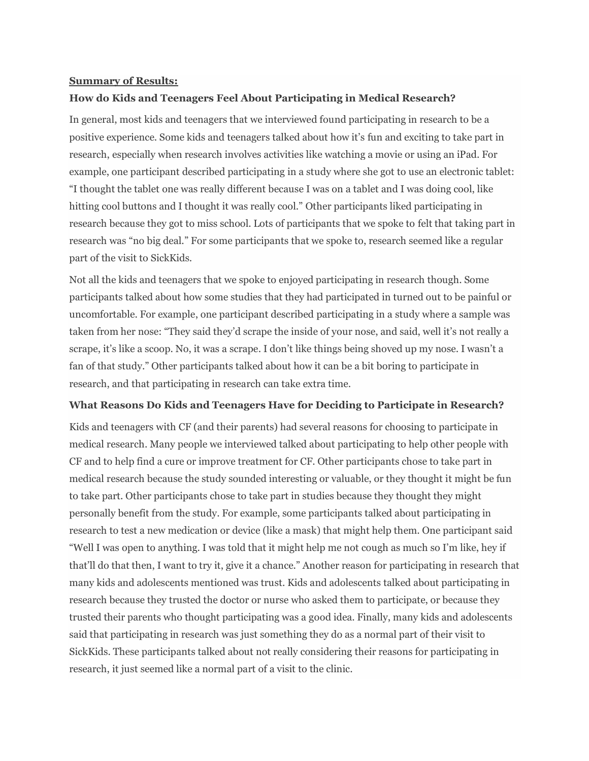### **Summary of Results:**

### **How do Kids and Teenagers Feel About Participating in Medical Research?**

In general, most kids and teenagers that we interviewed found participating in research to be a positive experience. Some kids and teenagers talked about how it's fun and exciting to take part in research, especially when research involves activities like watching a movie or using an iPad. For example, one participant described participating in a study where she got to use an electronic tablet: "I thought the tablet one was really different because I was on a tablet and I was doing cool, like hitting cool buttons and I thought it was really cool." Other participants liked participating in research because they got to miss school. Lots of participants that we spoke to felt that taking part in research was "no big deal." For some participants that we spoke to, research seemed like a regular part of the visit to SickKids.

Not all the kids and teenagers that we spoke to enjoyed participating in research though. Some participants talked about how some studies that they had participated in turned out to be painful or uncomfortable. For example, one participant described participating in a study where a sample was taken from her nose: "They said they'd scrape the inside of your nose, and said, well it's not really a scrape, it's like a scoop. No, it was a scrape. I don't like things being shoved up my nose. I wasn't a fan of that study." Other participants talked about how it can be a bit boring to participate in research, and that participating in research can take extra time.

#### **What Reasons Do Kids and Teenagers Have for Deciding to Participate in Research?**

Kids and teenagers with CF (and their parents) had several reasons for choosing to participate in medical research. Many people we interviewed talked about participating to help other people with CF and to help find a cure or improve treatment for CF. Other participants chose to take part in medical research because the study sounded interesting or valuable, or they thought it might be fun to take part. Other participants chose to take part in studies because they thought they might personally benefit from the study. For example, some participants talked about participating in research to test a new medication or device (like a mask) that might help them. One participant said "Well I was open to anything. I was told that it might help me not cough as much so I'm like, hey if that'll do that then, I want to try it, give it a chance." Another reason for participating in research that many kids and adolescents mentioned was trust. Kids and adolescents talked about participating in research because they trusted the doctor or nurse who asked them to participate, or because they trusted their parents who thought participating was a good idea. Finally, many kids and adolescents said that participating in research was just something they do as a normal part of their visit to SickKids. These participants talked about not really considering their reasons for participating in research, it just seemed like a normal part of a visit to the clinic.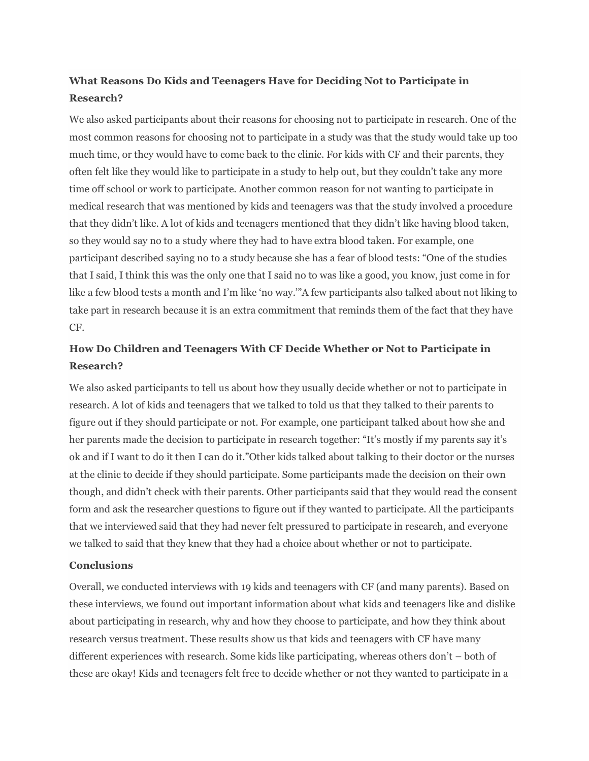# **What Reasons Do Kids and Teenagers Have for Deciding Not to Participate in Research?**

We also asked participants about their reasons for choosing not to participate in research. One of the most common reasons for choosing not to participate in a study was that the study would take up too much time, or they would have to come back to the clinic. For kids with CF and their parents, they often felt like they would like to participate in a study to help out, but they couldn't take any more time off school or work to participate. Another common reason for not wanting to participate in medical research that was mentioned by kids and teenagers was that the study involved a procedure that they didn't like. A lot of kids and teenagers mentioned that they didn't like having blood taken, so they would say no to a study where they had to have extra blood taken. For example, one participant described saying no to a study because she has a fear of blood tests: "One of the studies that I said, I think this was the only one that I said no to was like a good, you know, just come in for like a few blood tests a month and I'm like 'no way.'"A few participants also talked about not liking to take part in research because it is an extra commitment that reminds them of the fact that they have CF.

# **How Do Children and Teenagers With CF Decide Whether or Not to Participate in Research?**

We also asked participants to tell us about how they usually decide whether or not to participate in research. A lot of kids and teenagers that we talked to told us that they talked to their parents to figure out if they should participate or not. For example, one participant talked about how she and her parents made the decision to participate in research together: "It's mostly if my parents say it's ok and if I want to do it then I can do it."Other kids talked about talking to their doctor or the nurses at the clinic to decide if they should participate. Some participants made the decision on their own though, and didn't check with their parents. Other participants said that they would read the consent form and ask the researcher questions to figure out if they wanted to participate. All the participants that we interviewed said that they had never felt pressured to participate in research, and everyone we talked to said that they knew that they had a choice about whether or not to participate.

### **Conclusions**

Overall, we conducted interviews with 19 kids and teenagers with CF (and many parents). Based on these interviews, we found out important information about what kids and teenagers like and dislike about participating in research, why and how they choose to participate, and how they think about research versus treatment. These results show us that kids and teenagers with CF have many different experiences with research. Some kids like participating, whereas others don't – both of these are okay! Kids and teenagers felt free to decide whether or not they wanted to participate in a